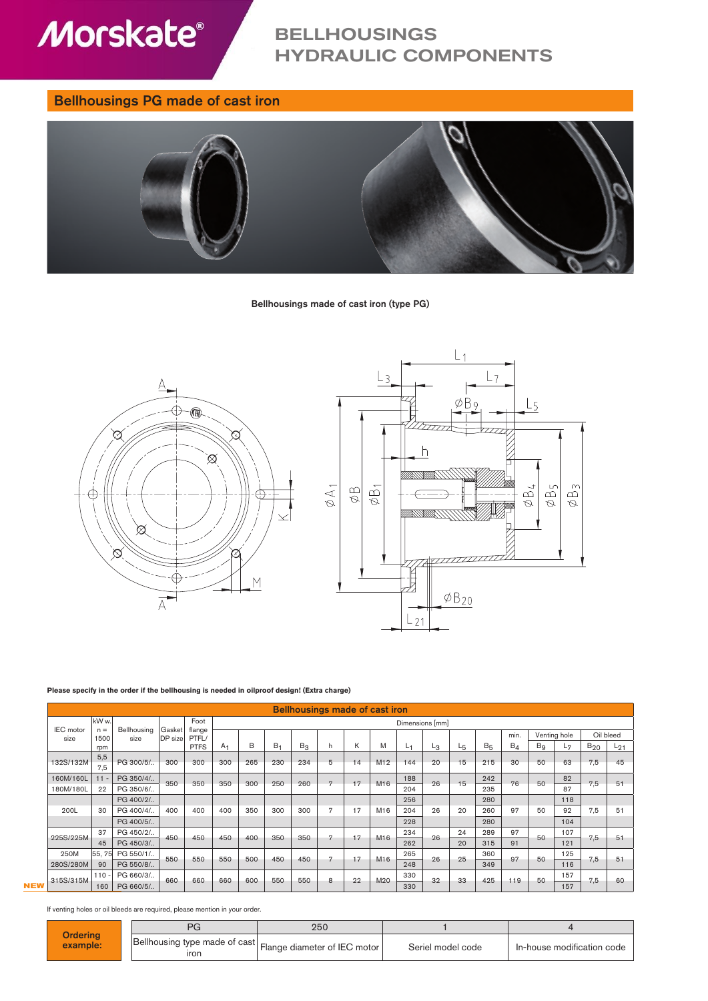

# BELLHOUSINGS HYDRAULIC COMPONENTS

## Bellhousings PG made of cast iron



### Bellhousings made of cast iron (type PG)



#### **Please specify in the order if the bellhousing is needed in oilproof design! (Extra charge)**

|           | Bellhousings made of cast iron |             |                |                 |                 |     |                |                |              |    |     |     |    |                |                       |                |                |              |           |          |
|-----------|--------------------------------|-------------|----------------|-----------------|-----------------|-----|----------------|----------------|--------------|----|-----|-----|----|----------------|-----------------------|----------------|----------------|--------------|-----------|----------|
| IEC motor | kW w.<br>$n =$                 | Bellhousing | Gasket         | Foot            | Dimensions [mm] |     |                |                |              |    |     |     |    |                |                       |                |                |              |           |          |
| size      | 1500                           | size        | <b>DP</b> size | flange<br>PTFL/ |                 |     |                |                |              |    |     |     |    |                |                       | min.           |                | Venting hole | Oil bleed |          |
|           | rpm                            |             |                | <b>PTFS</b>     | A <sub>1</sub>  | В   | B <sub>1</sub> | B <sub>3</sub> | h            | K  | M   | L1  | Lз | L <sub>5</sub> | <b>B</b> <sub>5</sub> | B <sub>4</sub> | B <sub>9</sub> | $L_{7}$      | $B_{20}$  | $L_{21}$ |
| 132S/132M | 5.5<br>7,5                     | PG 300/5/   | 300            | 300             | 300             | 265 | 230            | 234            | 5            | 14 | M12 | 144 | 20 | 15             | 215                   | 30             | 50             | 63           | 7,5       | 45       |
| 160M/160L | $11 -$                         | PG 350/4/   |                | 350             | 350             | 300 | 250            | 260            | $\mathbf{r}$ | 17 | M16 | 188 | 26 | 15             | 242                   | 76             | 50             | 82           | 7.5       | 51       |
| 180M/180L | 22                             | PG 350/6/   | 350            |                 |                 |     |                |                |              |    |     | 204 |    |                | 235                   |                |                | 87           |           |          |
|           |                                | PG 400/2/   |                |                 |                 |     |                |                |              |    |     | 256 |    |                | 280                   |                |                | 118          |           |          |
| 200L      | 30                             | PG 400/4/   | 400            | 400             | 400             | 350 | 300            | 300            | 7            | 17 | M16 | 204 | 26 | 20             | 260                   | 97             | 50             | 92           | 7,5       | 51       |
|           |                                | PG 400/5/   |                |                 |                 |     |                |                |              |    |     | 228 |    |                | 280                   |                |                | 104          |           |          |
|           | 37                             | PG 450/2/   | 450            | 450             | 450             | 400 | 350            | 350            | n            | 17 | M16 | 234 | 26 | 24             | 289                   | 97             | 50             | 107          | 7,5       | 51       |
| 225S/225M | 45                             | PG 450/3/   |                |                 |                 |     |                |                |              |    |     | 262 |    | 20             | 315                   | 91             |                | 121          |           |          |
| 250M      | 55, 75                         | PG 550/1/   | 550            | 550             | 550             | 500 | 450            | 450            | 7            | 17 | M16 | 265 | 26 | 25             | 360                   | 97             | 50             | 125          | 7,5       | 51       |
| 280S/280M | 90                             | PG 550/8/   |                |                 |                 |     |                |                |              |    |     | 248 |    |                | 349                   |                |                | 116          |           |          |
| 315S/315M | $110 -$                        | PG 660/3/   | 660            | 660             | 660             | 600 | 550            | 550            | 8            | 22 | M20 | 330 | 32 | 33             | 425                   | 119            | 50             | 157          | 7,5       | 60       |
|           | 160                            | PG 660/5/   |                |                 |                 |     |                |                |              |    |     | 330 |    |                |                       |                |                | 157          |           |          |

If venting holes or oil bleeds are required, please mention in your order.

|                             |                                                                    | 250 |                   |                            |
|-----------------------------|--------------------------------------------------------------------|-----|-------------------|----------------------------|
| <b>Ordering</b><br>example: | Bellhousing type made of cast Flange diameter of IEC motor<br>ıron |     | Seriel model code | In-house modification code |